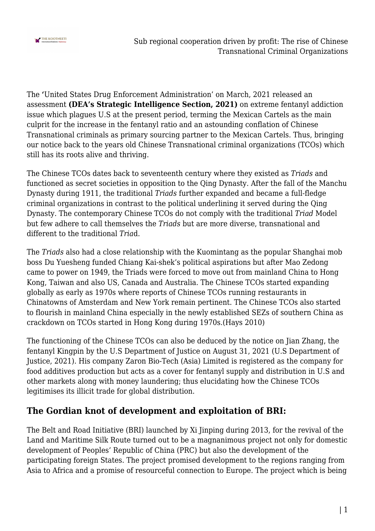

The **'**United States Drug Enforcement Administration' on March, 2021 released an assessment **(DEA's Strategic Intelligence Section, 2021)** on extreme fentanyl addiction issue which plagues U.S at the present period, terming the Mexican Cartels as the main culprit for the increase in the fentanyl ratio and an astounding conflation of Chinese Transnational criminals as primary sourcing partner to the Mexican Cartels. Thus, bringing our notice back to the years old Chinese Transnational criminal organizations (TCOs) which still has its roots alive and thriving.

The Chinese TCOs dates back to seventeenth century where they existed as *Triads* and functioned as secret societies in opposition to the Qing Dynasty. After the fall of the Manchu Dynasty during 1911, the traditional *Triads* further expanded and became a full-fledge criminal organizations in contrast to the political underlining it served during the Qing Dynasty. The contemporary Chinese TCOs do not comply with the traditional *Triad* Model but few adhere to call themselves the *Triads* but are more diverse, transnational and different to the traditional *Tria*d.

The *Triads* also had a close relationship with the Kuomintang as the popular Shanghai mob boss Du Yuesheng funded Chiang Kai-shek's political aspirations but after Mao Zedong came to power on 1949, the Triads were forced to move out from mainland China to Hong Kong, Taiwan and also US, Canada and Australia. The Chinese TCOs started expanding globally as early as 1970s where reports of Chinese TCOs running restaurants in Chinatowns of Amsterdam and New York remain pertinent. The Chinese TCOs also started to flourish in mainland China especially in the newly established SEZs of southern China as crackdown on TCOs started in Hong Kong during 1970s.(Hays 2010)

The functioning of the Chinese TCOs can also be deduced by the notice on Jian Zhang, the fentanyl Kingpin by the U.S Department of Justice on August 31, 2021 (U.S Department of Justice, 2021). His company Zaron Bio-Tech (Asia) Limited is registered as the company for food additives production but acts as a cover for fentanyl supply and distribution in U.S and other markets along with money laundering; thus elucidating how the Chinese TCOs legitimises its illicit trade for global distribution.

### **The Gordian knot of development and exploitation of BRI:**

The Belt and Road Initiative (BRI) launched by Xi Jinping during 2013, for the revival of the Land and Maritime Silk Route turned out to be a magnanimous project not only for domestic development of Peoples' Republic of China (PRC) but also the development of the participating foreign States. The project promised development to the regions ranging from Asia to Africa and a promise of resourceful connection to Europe. The project which is being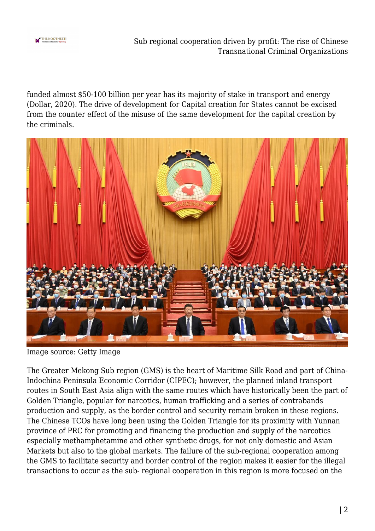

funded almost \$50-100 billion per year has its majority of stake in transport and energy (Dollar, 2020). The drive of development for Capital creation for States cannot be excised from the counter effect of the misuse of the same development for the capital creation by the criminals.



Image source: Getty Image

The Greater Mekong Sub region (GMS) is the heart of Maritime Silk Road and part of China-Indochina Peninsula Economic Corridor (CIPEC); however, the planned inland transport routes in South East Asia align with the same routes which have historically been the part of Golden Triangle, popular for narcotics, human trafficking and a series of contrabands production and supply, as the border control and security remain broken in these regions. The Chinese TCOs have long been using the Golden Triangle for its proximity with Yunnan province of PRC for promoting and financing the production and supply of the narcotics especially methamphetamine and other synthetic drugs, for not only domestic and Asian Markets but also to the global markets. The failure of the sub-regional cooperation among the GMS to facilitate security and border control of the region makes it easier for the illegal transactions to occur as the sub- regional cooperation in this region is more focused on the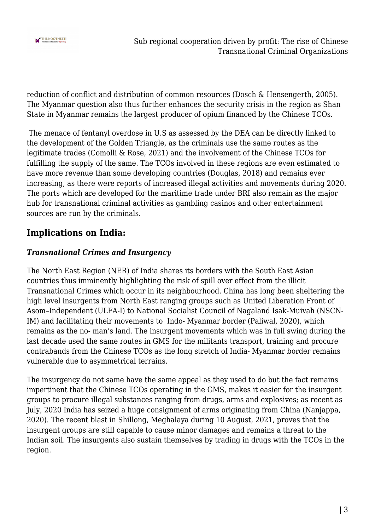

reduction of conflict and distribution of common resources (Dosch & Hensengerth, 2005). The Myanmar question also thus further enhances the security crisis in the region as Shan State in Myanmar remains the largest producer of opium financed by the Chinese TCOs.

 The menace of fentanyl overdose in U.S as assessed by the DEA can be directly linked to the development of the Golden Triangle, as the criminals use the same routes as the legitimate trades (Comolli & Rose, 2021) and the involvement of the Chinese TCOs for fulfilling the supply of the same. The TCOs involved in these regions are even estimated to have more revenue than some developing countries (Douglas, 2018) and remains ever increasing, as there were reports of increased illegal activities and movements during 2020. The ports which are developed for the maritime trade under BRI also remain as the major hub for transnational criminal activities as gambling casinos and other entertainment sources are run by the criminals.

# **Implications on India:**

#### *Transnational Crimes and Insurgency*

The North East Region (NER) of India shares its borders with the South East Asian countries thus imminently highlighting the risk of spill over effect from the illicit Transnational Crimes which occur in its neighbourhood. China has long been sheltering the high level insurgents from North East ranging groups such as United Liberation Front of Asom–Independent (ULFA-I) to National Socialist Council of Nagaland Isak-Muivah (NSCN-IM) and facilitating their movements to Indo- Myanmar border (Paliwal, 2020), which remains as the no- man's land. The insurgent movements which was in full swing during the last decade used the same routes in GMS for the militants transport, training and procure contrabands from the Chinese TCOs as the long stretch of India- Myanmar border remains vulnerable due to asymmetrical terrains.

The insurgency do not same have the same appeal as they used to do but the fact remains impertinent that the Chinese TCOs operating in the GMS, makes it easier for the insurgent groups to procure illegal substances ranging from drugs, arms and explosives; as recent as July, 2020 India has seized a huge consignment of arms originating from China (Nanjappa, 2020). The recent blast in Shillong, Meghalaya during 10 August, 2021, proves that the insurgent groups are still capable to cause minor damages and remains a threat to the Indian soil. The insurgents also sustain themselves by trading in drugs with the TCOs in the region.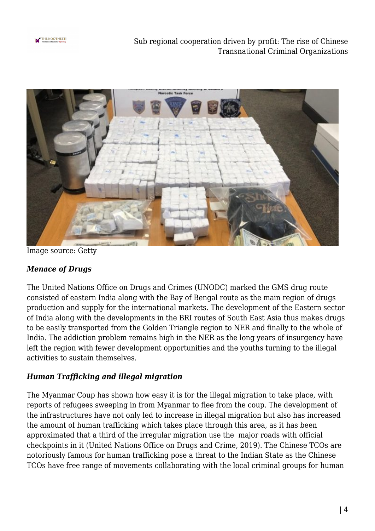

Sub regional cooperation driven by profit: The rise of Chinese Transnational Criminal Organizations



Image source: Getty

#### *Menace of Drugs*

The United Nations Office on Drugs and Crimes (UNODC) marked the GMS drug route consisted of eastern India along with the Bay of Bengal route as the main region of drugs production and supply for the international markets. The development of the Eastern sector of India along with the developments in the BRI routes of South East Asia thus makes drugs to be easily transported from the Golden Triangle region to NER and finally to the whole of India. The addiction problem remains high in the NER as the long years of insurgency have left the region with fewer development opportunities and the youths turning to the illegal activities to sustain themselves.

#### *Human Trafficking and illegal migration*

The Myanmar Coup has shown how easy it is for the illegal migration to take place, with reports of refugees sweeping in from Myanmar to flee from the coup. The development of the infrastructures have not only led to increase in illegal migration but also has increased the amount of human trafficking which takes place through this area, as it has been approximated that a third of the irregular migration use the major roads with official checkpoints in it (United Nations Office on Drugs and Crime, 2019). The Chinese TCOs are notoriously famous for human trafficking pose a threat to the Indian State as the Chinese TCOs have free range of movements collaborating with the local criminal groups for human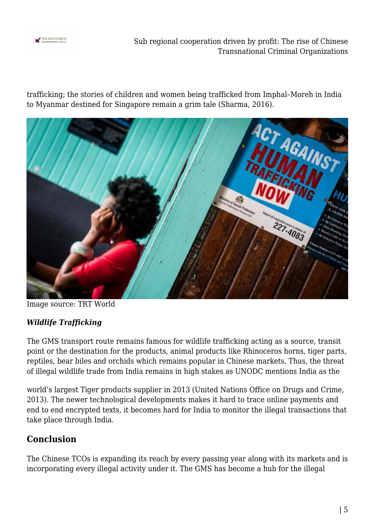

Sub regional cooperation driven by profit: The rise of Chinese Transnational Criminal Organizations

trafficking; the stories of children and women being trafficked from Imphal–Moreh in India to Myanmar destined for Singapore remain a grim tale (Sharma, 2016).



Image source: TRT World

#### *Wildlife Trafficking*

The GMS transport route remains famous for wildlife trafficking acting as a source, transit point or the destination for the products, animal products like Rhinoceros horns, tiger parts, reptiles, bear biles and orchids which remains popular in Chinese markets. Thus, the threat of illegal wildlife trade from India remains in high stakes as UNODC mentions India as the

world's largest Tiger products supplier in 2013 (United Nations Office on Drugs and Crime, 2013). The newer technological developments makes it hard to trace online payments and end to end encrypted texts, it becomes hard for India to monitor the illegal transactions that take place through India.

### **Conclusion**

The Chinese TCOs is expanding its reach by every passing year along with its markets and is incorporating every illegal activity under it. The GMS has become a hub for the illegal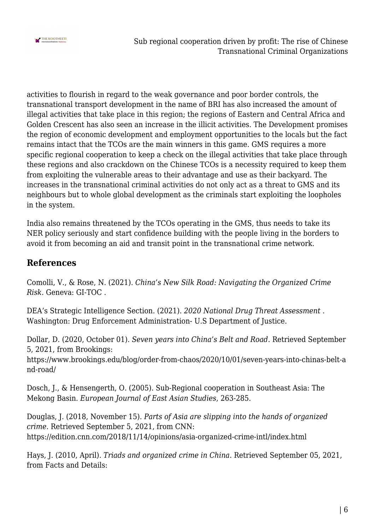

activities to flourish in regard to the weak governance and poor border controls, the transnational transport development in the name of BRI has also increased the amount of illegal activities that take place in this region; the regions of Eastern and Central Africa and Golden Crescent has also seen an increase in the illicit activities. The Development promises the region of economic development and employment opportunities to the locals but the fact remains intact that the TCOs are the main winners in this game. GMS requires a more specific regional cooperation to keep a check on the illegal activities that take place through these regions and also crackdown on the Chinese TCOs is a necessity required to keep them from exploiting the vulnerable areas to their advantage and use as their backyard. The increases in the transnational criminal activities do not only act as a threat to GMS and its neighbours but to whole global development as the criminals start exploiting the loopholes in the system.

India also remains threatened by the TCOs operating in the GMS, thus needs to take its NER policy seriously and start confidence building with the people living in the borders to avoid it from becoming an aid and transit point in the transnational crime network.

## **References**

Comolli, V., & Rose, N. (2021). *China's New Silk Road: Navigating the Organized Crime Risk.* Geneva: GI-TOC .

DEA's Strategic Intelligence Section. (2021). *2020 National Drug Threat Assessment .* Washington: Drug Enforcement Administration- U.S Department of Justice.

Dollar, D. (2020, October 01). *Seven years into China's Belt and Road*. Retrieved September 5, 2021, from Brookings:

https://www.brookings.edu/blog/order-from-chaos/2020/10/01/seven-years-into-chinas-belt-a nd-road/

Dosch, J., & Hensengerth, O. (2005). Sub-Regional cooperation in Southeast Asia: The Mekong Basin. *European Journal of East Asian Studies*, 263-285.

Douglas, J. (2018, November 15). *Parts of Asia are slipping into the hands of organized crime*. Retrieved September 5, 2021, from CNN: https://edition.cnn.com/2018/11/14/opinions/asia-organized-crime-intl/index.html

Hays, J. (2010, April). *Triads and organized crime in China*. Retrieved September 05, 2021, from Facts and Details: